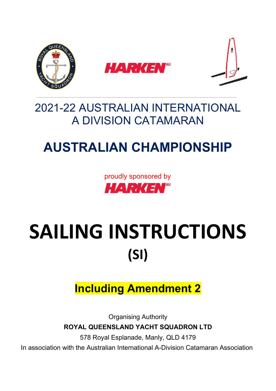

## 2021-22 AUSTRALIAN INTERNATIONAL A DIVISION CATAMARAN

# **AUSTRALIAN CHAMPIONSHIP**

proudly sponsored by **HARKEN**"

# SAILING INSTRUCTIONS **(SI)**

## **Including Amendment 2**

Organising Authority **ROYAL QUEENSLAND YACHT SQUADRON LTD**

578 Royal Esplanade, Manly, QLD 4179

In association with the Australian International A-Division Catamaran Association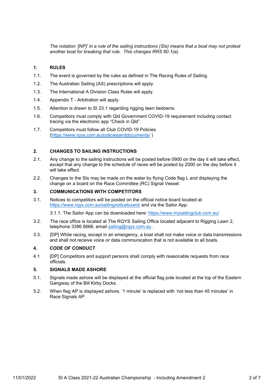*The notation '[NP]' in a rule of the sailing instructions (SIs) means that a boat may not protest another boat for breaking that rule. This changes RRS 60.1(a).* 

#### **1. RULES**

- 1.1. The event is governed by the rules as defined in The Racing Rules of Sailing.
- 1.2. The Australian Sailing (AS) prescriptions will apply.
- 1.3. The International A Division Class Rules will apply.
- 1.4. Appendix T Arbitration will apply.
- 1.5. Attention is drawn to SI 23.1 regarding rigging lawn tiedowns.
- 1.6. Competitors must comply with Qld Government COVID-19 requirement including contact tracing via the electronic app "Check in Qld".
- 1.7. Competitors must follow all Club COVID-19 Policies [\(https://www.rqys.com.au/policiesanddocuments/](https://www.rqys.com.au/policiesanddocuments/) )

#### **2. CHANGES TO SAILING INSTRUCTIONS**

- 2.1. Any change to the sailing instructions will be posted before 0900 on the day it will take effect, except that any change to the schedule of races will be posted by 2000 on the day before it will take effect.
- 2.2. Changes to the SIs may be made on the water by flying Code flag L and displaying the change on a board on the Race Committee (RC) Signal Vessel.

#### **3. COMMUNICATIONS WITH COMPETITORS**

3.1. Notices to competitors will be posted on the official notice board located at <https://www.rqys.com.au/sailingnoticeboard/> and via the Sailor App.

3.1.1. The Sailor App can be downloaded here:<https://www.mysailingclub.com.au/>

- 3.2. The race office is located at The RQYS Sailing Office located adjacent to Rigging Lawn 2, telephone 3396 8666, email [sailing@rqys.com.au](mailto:sailing@rqys.com.au).
- 3.3. [DP] While racing, except in an emergency, a boat shall not make voice or data transmissions and shall not receive voice or data communication that is not available to all boats.

#### **4. CODE OF CONDUCT**

4.1 [DP] Competitors and support persons shall comply with reasonable requests from race officials.

#### **5. SIGNALS MADE ASHORE**

- 5.1. Signals made ashore will be displayed at the official flag pole located at the top of the Eastern Gangway of the Bill Kirby Docks.
- 5.2. When flag AP is displayed ashore, '1 minute' is replaced with 'not less than 45 minutes' in Race Signals AP.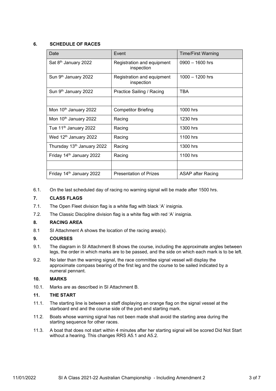#### **6. SCHEDULE OF RACES**

| Date                                 | Event                                    | <b>Time/First Warning</b> |
|--------------------------------------|------------------------------------------|---------------------------|
| Sat 8 <sup>th</sup> January 2022     | Registration and equipment<br>inspection | $0900 - 1600$ hrs         |
| Sun 9th January 2022                 | Registration and equipment<br>inspection | $1000 - 1200$ hrs         |
| Sun 9 <sup>th</sup> January 2022     | Practice Sailing / Racing                | <b>TBA</b>                |
|                                      |                                          |                           |
| Mon 10th January 2022                | <b>Competitor Briefing</b>               | 1000 hrs                  |
| Mon 10 <sup>th</sup> January 2022    | Racing                                   | 1230 hrs                  |
| Tue 11 <sup>th</sup> January 2022    | Racing                                   | 1300 hrs                  |
| Wed 12 <sup>th</sup> January 2022    | Racing                                   | 1100 hrs                  |
| Thursday 13th January 2022           | Racing                                   | 1300 hrs                  |
| Friday 14 <sup>th</sup> January 2022 | Racing                                   | 1100 hrs                  |
|                                      |                                          |                           |
| Friday 14th January 2022             | <b>Presentation of Prizes</b>            | ASAP after Racing         |

6.1. On the last scheduled day of racing no warning signal will be made after 1500 hrs.

#### **7. CLASS FLAGS**

- 7.1. The Open Fleet division flag is a white flag with black 'A' insignia.
- 7.2. The Classic Discipline division flag is a white flag with red 'A' insignia.

#### **8. RACING AREA**

8.1 SI Attachment A shows the location of the racing area(s).

#### **9. COURSES**

- 9.1. The diagram in SI Attachment B shows the course, including the approximate angles between legs, the order in which marks are to be passed, and the side on which each mark is to be left.
- 9.2. No later than the warning signal, the race committee signal vessel will display the approximate compass bearing of the first leg and the course to be sailed indicated by a numeral pennant.

#### **10. MARKS**

10.1. Marks are as described in SI Attachment B.

#### **11. THE START**

- 11.1. The starting line is between a staff displaying an orange flag on the signal vessel at the starboard end and the course side of the port-end starting mark.
- 11.2. Boats whose warning signal has not been made shall avoid the starting area during the starting sequence for other races.
- 11.3. A boat that does not start within 4 minutes after her starting signal will be scored Did Not Start without a hearing. This changes RRS A5.1 and A5.2.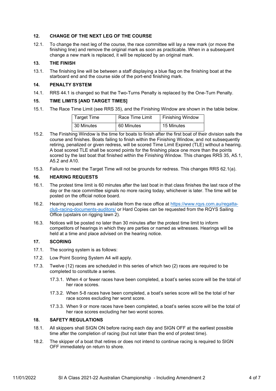#### **12. CHANGE OF THE NEXT LEG OF THE COURSE**

12.1. To change the next leg of the course, the race committee will lay a new mark (or move the finishing line) and remove the original mark as soon as practicable. When in a subsequent change a new mark is replaced, it will be replaced by an original mark.

#### **13. THE FINISH**

13.1. The finishing line will be between a staff displaying a blue flag on the finishing boat at the starboard end and the course side of the port-end finishing mark.

#### **14. PENALTY SYSTEM**

14.1. RRS 44.1 is changed so that the Two-Turns Penalty is replaced by the One-Turn Penalty.

#### **15. TIME LIMITS [AND TARGET TIMES]**

15.1. The Race Time Limit (see RRS 35), and the Finishing Window are shown in the table below.

| <b>Target Time</b> | Race Time Limit | <b>Finishing Window</b> |
|--------------------|-----------------|-------------------------|
| 30 Minutes         | 60 Minutes      | 15 Minutes              |

- 15.2. The Finishing Window is the time for boats to finish after the first boat of their division sails the course and finishes. Boats failing to finish within the Finishing Window, and not subsequently retiring, penalized or given redress, will be scored Time Limit Expired (TLE) without a hearing. A boat scored TLE shall be scored points for the finishing place one more than the points scored by the last boat that finished within the Finishing Window. This changes RRS 35, A5.1, A5.2 and A10.
- 15.3. Failure to meet the Target Time will not be grounds for redress. This changes RRS 62.1(a).

#### **16. HEARING REQUESTS**

- 16.1. The protest time limit is 60 minutes after the last boat in that class finishes the last race of the day or the race committee signals no more racing today, whichever is later. The time will be posted on the official notice board.
- 16.2. Hearing request forms are available from the race office at [https://www.rqys.com.au/regatta](https://www.rqys.com.au/regatta-club-racing-documents-auditors/)[club-racing-documents-auditors/](https://www.rqys.com.au/regatta-club-racing-documents-auditors/) or Hard Copies can be requested from the RQYS Sailing Office (upstairs on rigging lawn 2).
- 16.3. Notices will be posted no later than 30 minutes after the protest time limit to inform competitors of hearings in which they are parties or named as witnesses. Hearings will be held at a time and place advised on the hearing notice.

#### **17. SCORING**

- 17.1. The scoring system is as follows:
- 17.2. Low Point Scoring System A4 will apply.
- 17.3. Twelve (12) races are scheduled in this series of which two (2) races are required to be completed to constitute a series.
	- 17.3.1. When 4 or fewer races have been completed, a boat's series score will be the total of her race scores.
	- 17.3.2. When 5-8 races have been completed, a boat's series score will be the total of her race scores excluding her worst score.
	- 17.3.3. When 9 or more races have been completed, a boat's series score will be the total of her race scores excluding her two worst scores.

#### **18. SAFETY REGULATIONS**

- 18.1. All skippers shall SIGN ON before racing each day and SIGN OFF at the earliest possible time after the completion of racing (but not later than the end of protest time).
- 18.2. The skipper of a boat that retires or does not intend to continue racing is required to SIGN OFF immediately on return to shore.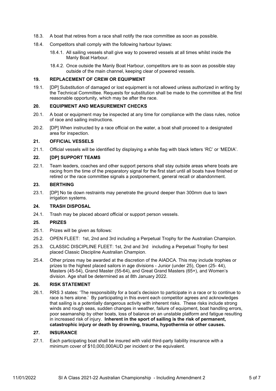- 18.3. A boat that retires from a race shall notify the race committee as soon as possible.
- 18.4. Competitors shall comply with the following harbour bylaws:
	- 18.4.1. All sailing vessels shall give way to powered vessels at all times whilst inside the Manly Boat Harbour.
	- 18.4.2. Once outside the Manly Boat Harbour, competitors are to as soon as possible stay outside of the main channel, keeping clear of powered vessels.

#### **19. REPLACEMENT OF CREW OR EQUIPMENT**

19.1. [DP] Substitution of damaged or lost equipment is not allowed unless authorized in writing by the Technical Committee. Requests for substitution shall be made to the committee at the first reasonable opportunity, which may be after the race.

#### **20. EQUIPMENT AND MEASUREMENT CHECKS**

- 20.1. A boat or equipment may be inspected at any time for compliance with the class rules, notice of race and sailing instructions.
- 20.2. [DP] When instructed by a race official on the water, a boat shall proceed to a designated area for inspection.

#### **21. OFFICIAL VESSELS**

21.1. Official vessels will be identified by displaying a white flag with black letters 'RC' or 'MEDIA'.

#### **22. [DP] SUPPORT TEAMS**

22.1. Team leaders, coaches and other support persons shall stay outside areas where boats are racing from the time of the preparatory signal for the first start until all boats have finished or retired or the race committee signals a postponement, general recall or abandonment.

#### **23. BERTHING**

23.1. [DP] No tie down restraints may penetrate the ground deeper than 300mm due to lawn irrigation systems.

#### **24. TRASH DISPOSAL**

24.1. Trash may be placed aboard official or support person vessels.

#### **25. PRIZES**

- 25.1. Prizes will be given as follows:
- 25.2. OPEN FLEET: 1st, 2nd and 3rd including a Perpetual Trophy for the Australian Champion.
- 25.3. CLASSIC DISCIPLINE FLEET: 1st, 2nd and 3rd including a Perpetual Trophy for best placed Classic Discipline Australian Champion.
- 25.4. Other prizes may be awarded at the discretion of the AIADCA. This may include trophies or prizes to the highest placed sailors in age divisions - Junior (under 25), Open (25- 44), Masters (45-54), Grand Master (55-64), and Great Grand Masters (65+), and Women's division. Age shall be determined as at 8th January 2022.

#### **26. RISK STATEMENT**

26.1. RRS 3 states: 'The responsibility for a boat's decision to participate in a race or to continue to race is hers alone.' By participating in this event each competitor agrees and acknowledges that sailing is a potentially dangerous activity with inherent risks. These risks include strong winds and rough seas, sudden changes in weather, failure of equipment, boat handling errors, poor seamanship by other boats, loss of balance on an unstable platform and fatigue resulting in increased risk of injury. **Inherent in the sport of sailing is the risk of permanent, catastrophic injury or death by drowning, trauma, hypothermia or other causes.**

#### **27. INSURANCE**

27.1. Each participating boat shall be insured with valid third-party liability insurance with a minimum cover of \$10,000,000AUD per incident or the equivalent.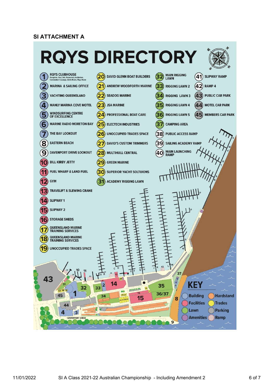### **SI ATTACHMENT A**